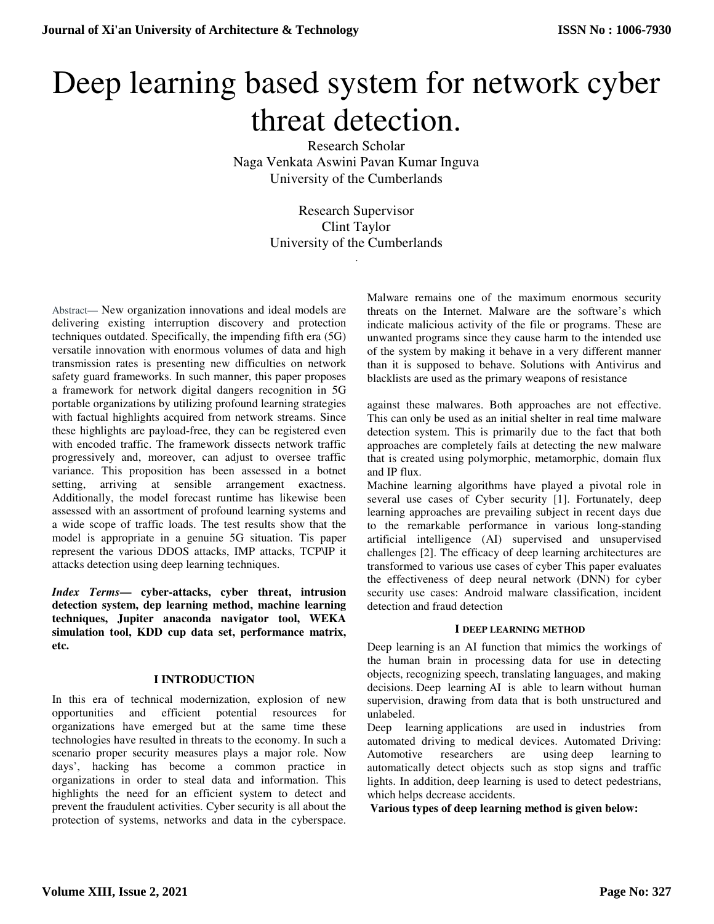# Deep learning based system for network cyber threat detection.

Research Scholar Naga Venkata Aswini Pavan Kumar Inguva University of the Cumberlands

> Research Supervisor Clint Taylor University of the Cumberlands .

Abstract— New organization innovations and ideal models are delivering existing interruption discovery and protection techniques outdated. Specifically, the impending fifth era (5G) versatile innovation with enormous volumes of data and high transmission rates is presenting new difficulties on network safety guard frameworks. In such manner, this paper proposes a framework for network digital dangers recognition in 5G portable organizations by utilizing profound learning strategies with factual highlights acquired from network streams. Since these highlights are payload-free, they can be registered even with encoded traffic. The framework dissects network traffic progressively and, moreover, can adjust to oversee traffic variance. This proposition has been assessed in a botnet setting, arriving at sensible arrangement exactness. Additionally, the model forecast runtime has likewise been assessed with an assortment of profound learning systems and a wide scope of traffic loads. The test results show that the model is appropriate in a genuine 5G situation. Tis paper represent the various DDOS attacks, IMP attacks, TCP\IP it attacks detection using deep learning techniques.

*Index Terms***— cyber-attacks, cyber threat, intrusion detection system, dep learning method, machine learning techniques, Jupiter anaconda navigator tool, WEKA simulation tool, KDD cup data set, performance matrix, etc.**

## **I INTRODUCTION**

In this era of technical modernization, explosion of new opportunities and efficient potential resources for organizations have emerged but at the same time these technologies have resulted in threats to the economy. In such a scenario proper security measures plays a major role. Now days', hacking has become a common practice in organizations in order to steal data and information. This highlights the need for an efficient system to detect and prevent the fraudulent activities. Cyber security is all about the protection of systems, networks and data in the cyberspace.

Malware remains one of the maximum enormous security threats on the Internet. Malware are the software's which indicate malicious activity of the file or programs. These are unwanted programs since they cause harm to the intended use of the system by making it behave in a very different manner than it is supposed to behave. Solutions with Antivirus and blacklists are used as the primary weapons of resistance

against these malwares. Both approaches are not effective. This can only be used as an initial shelter in real time malware detection system. This is primarily due to the fact that both approaches are completely fails at detecting the new malware that is created using polymorphic, metamorphic, domain flux and IP flux.

Machine learning algorithms have played a pivotal role in several use cases of Cyber security [1]. Fortunately, deep learning approaches are prevailing subject in recent days due to the remarkable performance in various long-standing artificial intelligence (AI) supervised and unsupervised challenges [2]. The efficacy of deep learning architectures are transformed to various use cases of cyber This paper evaluates the effectiveness of deep neural network (DNN) for cyber security use cases: Android malware classification, incident detection and fraud detection

## **I DEEP LEARNING METHOD**

Deep learning is an AI function that mimics the workings of the human brain in processing data for use in detecting objects, recognizing speech, translating languages, and making decisions. Deep learning AI is able to learn without human supervision, drawing from data that is both unstructured and unlabeled.

Deep learning applications are used in industries from automated driving to medical devices. Automated Driving: Automotive researchers are using deep learning to automatically detect objects such as stop signs and traffic lights. In addition, deep learning is used to detect pedestrians, which helps decrease accidents.

**Various types of deep learning method is given below:**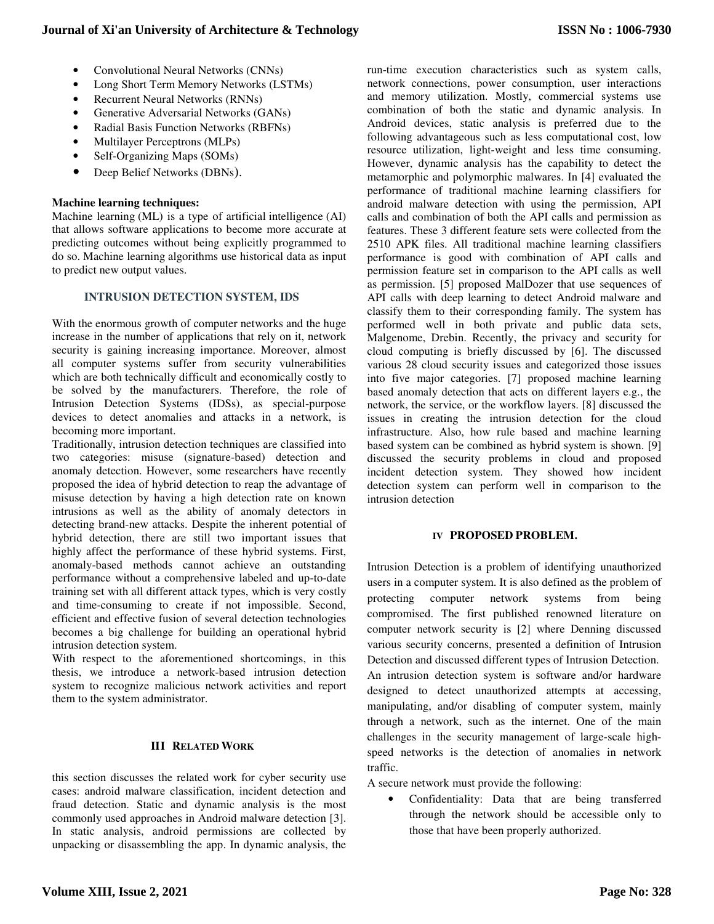- Convolutional Neural Networks (CNNs)
- Long Short Term Memory Networks (LSTMs)
- Recurrent Neural Networks (RNNs)
- Generative Adversarial Networks (GANs)
- Radial Basis Function Networks (RBFNs)
- Multilayer Perceptrons (MLPs)
- Self-Organizing Maps (SOMs)
- Deep Belief Networks (DBNs).

## **Machine learning techniques:**

Machine learning (ML) is a type of artificial intelligence (AI) that allows software applications to become more accurate at predicting outcomes without being explicitly programmed to do so. Machine learning algorithms use historical data as input to predict new output values.

## **INTRUSION DETECTION SYSTEM, IDS**

With the enormous growth of computer networks and the huge increase in the number of applications that rely on it, network security is gaining increasing importance. Moreover, almost all computer systems suffer from security vulnerabilities which are both technically difficult and economically costly to be solved by the manufacturers. Therefore, the role of Intrusion Detection Systems (IDSs), as special-purpose devices to detect anomalies and attacks in a network, is becoming more important.

Traditionally, intrusion detection techniques are classified into two categories: misuse (signature-based) detection and anomaly detection. However, some researchers have recently proposed the idea of hybrid detection to reap the advantage of misuse detection by having a high detection rate on known intrusions as well as the ability of anomaly detectors in detecting brand-new attacks. Despite the inherent potential of hybrid detection, there are still two important issues that highly affect the performance of these hybrid systems. First, anomaly-based methods cannot achieve an outstanding performance without a comprehensive labeled and up-to-date training set with all different attack types, which is very costly and time-consuming to create if not impossible. Second, efficient and effective fusion of several detection technologies becomes a big challenge for building an operational hybrid intrusion detection system.

With respect to the aforementioned shortcomings, in this thesis, we introduce a network-based intrusion detection system to recognize malicious network activities and report them to the system administrator.

## **III RELATED WORK**

this section discusses the related work for cyber security use cases: android malware classification, incident detection and fraud detection. Static and dynamic analysis is the most commonly used approaches in Android malware detection [3]. In static analysis, android permissions are collected by unpacking or disassembling the app. In dynamic analysis, the

run-time execution characteristics such as system calls, network connections, power consumption, user interactions and memory utilization. Mostly, commercial systems use combination of both the static and dynamic analysis. In Android devices, static analysis is preferred due to the following advantageous such as less computational cost, low resource utilization, light-weight and less time consuming. However, dynamic analysis has the capability to detect the metamorphic and polymorphic malwares. In [4] evaluated the performance of traditional machine learning classifiers for android malware detection with using the permission, API calls and combination of both the API calls and permission as features. These 3 different feature sets were collected from the 2510 APK files. All traditional machine learning classifiers performance is good with combination of API calls and permission feature set in comparison to the API calls as well as permission. [5] proposed MalDozer that use sequences of API calls with deep learning to detect Android malware and classify them to their corresponding family. The system has performed well in both private and public data sets, Malgenome, Drebin. Recently, the privacy and security for cloud computing is briefly discussed by [6]. The discussed various 28 cloud security issues and categorized those issues into five major categories. [7] proposed machine learning based anomaly detection that acts on different layers e.g., the network, the service, or the workflow layers. [8] discussed the issues in creating the intrusion detection for the cloud infrastructure. Also, how rule based and machine learning based system can be combined as hybrid system is shown. [9] discussed the security problems in cloud and proposed incident detection system. They showed how incident detection system can perform well in comparison to the intrusion detection

## **IV PROPOSED PROBLEM.**

Intrusion Detection is a problem of identifying unauthorized users in a computer system. It is also defined as the problem of protecting computer network systems from being compromised. The first published renowned literature on computer network security is [2] where Denning discussed various security concerns, presented a definition of Intrusion Detection and discussed different types of Intrusion Detection. An intrusion detection system is software and/or hardware designed to detect unauthorized attempts at accessing, manipulating, and/or disabling of computer system, mainly through a network, such as the internet. One of the main challenges in the security management of large-scale highspeed networks is the detection of anomalies in network traffic.

A secure network must provide the following:

Confidentiality: Data that are being transferred through the network should be accessible only to those that have been properly authorized.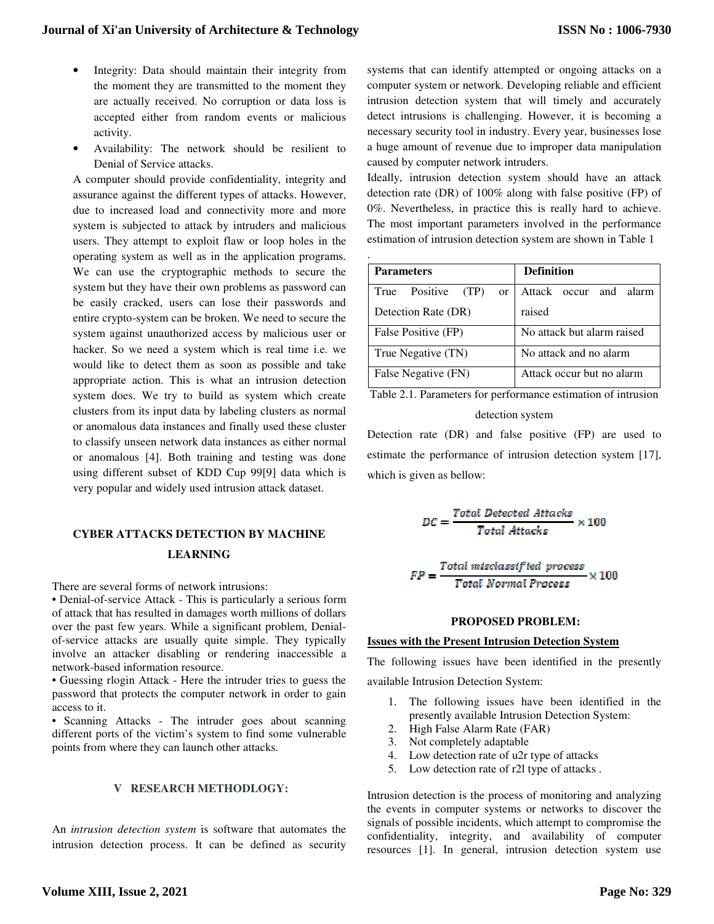- Integrity: Data should maintain their integrity from the moment they are transmitted to the moment they are actually received. No corruption or data loss is accepted either from random events or malicious activity.
- Availability: The network should be resilient to Denial of Service attacks.

A computer should provide confidentiality, integrity and assurance against the different types of attacks. However, due to increased load and connectivity more and more system is subjected to attack by intruders and malicious users. They attempt to exploit flaw or loop holes in the operating system as well as in the application programs. We can use the cryptographic methods to secure the system but they have their own problems as password can be easily cracked, users can lose their passwords and entire crypto-system can be broken. We need to secure the system against unauthorized access by malicious user or hacker. So we need a system which is real time i.e. we would like to detect them as soon as possible and take appropriate action. This is what an intrusion detection system does. We try to build as system which create clusters from its input data by labeling clusters as normal or anomalous data instances and finally used these cluster to classify unseen network data instances as either normal or anomalous [4]. Both training and testing was done using different subset of KDD Cup 99[9] data which is very popular and widely used intrusion attack dataset.

## **CYBER ATTACKS DETECTION BY MACHINE LEARNING**

There are several forms of network intrusions:

• Denial-of-service Attack - This is particularly a serious form of attack that has resulted in damages worth millions of dollars over the past few years. While a significant problem, Denialof-service attacks are usually quite simple. They typically involve an attacker disabling or rendering inaccessible a network-based information resource.

• Guessing rlogin Attack - Here the intruder tries to guess the password that protects the computer network in order to gain access to it.

• Scanning Attacks - The intruder goes about scanning different ports of the victim's system to find some vulnerable points from where they can launch other attacks.

#### **V RESEARCH METHODLOGY:**

An *intrusion detection system* is software that automates the intrusion detection process. It can be defined as security systems that can identify attempted or ongoing attacks on a computer system or network. Developing reliable and efficient intrusion detection system that will timely and accurately detect intrusions is challenging. However, it is becoming a necessary security tool in industry. Every year, businesses lose a huge amount of revenue due to improper data manipulation caused by computer network intruders.

Ideally, intrusion detection system should have an attack detection rate (DR) of 100% along with false positive (FP) of 0%. Nevertheless, in practice this is really hard to achieve. The most important parameters involved in the performance estimation of intrusion detection system are shown in Table 1

| <b>Parameters</b>                         | <b>Definition</b>          |
|-------------------------------------------|----------------------------|
| Positive<br>(TP)<br>True<br><sub>or</sub> | Attack<br>occur and alarm  |
| Detection Rate (DR)                       | raised                     |
| False Positive (FP)                       | No attack but alarm raised |
| True Negative (TN)                        | No attack and no alarm     |
| False Negative (FN)                       | Attack occur but no alarm  |

Table 2.1. Parameters for performance estimation of intrusion detection system

Detection rate (DR) and false positive (FP) are used to estimate the performance of intrusion detection system [17], which is given as bellow:

$$
DC = \frac{Total \ Defected \ Attacks}{Total \ Attacks} \times 100
$$

$$
FP = \frac{Total\ misclassified\ process}{Total\ Normal\ Process} \times 100
$$

#### **PROPOSED PROBLEM:**

## **Issues with the Present Intrusion Detection System**

The following issues have been identified in the presently

available Intrusion Detection System:

- 1. The following issues have been identified in the presently available Intrusion Detection System:
- 2. High False Alarm Rate (FAR)
- 3. Not completely adaptable
- 4. Low detection rate of u2r type of attacks
- 5. Low detection rate of r2l type of attacks .

Intrusion detection is the process of monitoring and analyzing the events in computer systems or networks to discover the signals of possible incidents, which attempt to compromise the confidentiality, integrity, and availability of computer resources [1]. In general, intrusion detection system use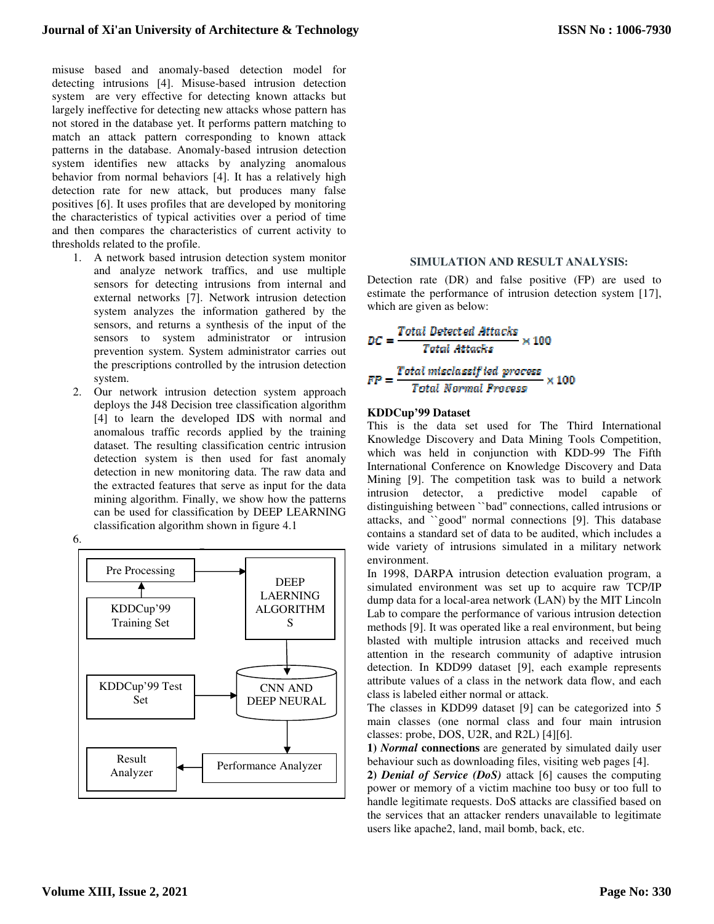misuse based and anomaly-based detection model for detecting intrusions [4]. Misuse-based intrusion detection system are very effective for detecting known attacks but largely ineffective for detecting new attacks whose pattern has not stored in the database yet. It performs pattern matching to match an attack pattern corresponding to known attack patterns in the database. Anomaly-based intrusion detection system identifies new attacks by analyzing anomalous behavior from normal behaviors [4]. It has a relatively high detection rate for new attack, but produces many false positives [6]. It uses profiles that are developed by monitoring the characteristics of typical activities over a period of time and then compares the characteristics of current activity to thresholds related to the profile.

- 1. A network based intrusion detection system monitor and analyze network traffics, and use multiple sensors for detecting intrusions from internal and external networks [7]. Network intrusion detection system analyzes the information gathered by the sensors, and returns a synthesis of the input of the sensors to system administrator or intrusion prevention system. System administrator carries out the prescriptions controlled by the intrusion detection system.
- 2. Our network intrusion detection system approach deploys the J48 Decision tree classification algorithm [4] to learn the developed IDS with normal and anomalous traffic records applied by the training dataset. The resulting classification centric intrusion detection system is then used for fast anomaly detection in new monitoring data. The raw data and the extracted features that serve as input for the data mining algorithm. Finally, we show how the patterns can be used for classification by DEEP LEARNING classification algorithm shown in figure 4.1

6.



## **SIMULATION AND RESULT ANALYSIS:**

Detection rate (DR) and false positive (FP) are used to estimate the performance of intrusion detection system [17], which are given as below:

$$
DC = \frac{Total \; detected \; Attacks}{Total \; Attacks} \times 100
$$
\n
$$
FP = \frac{Total \; misclassified \; process}{Total \; Normal \; Process} \times 100
$$

#### **KDDCup'99 Dataset**

This is the data set used for The Third International Knowledge Discovery and Data Mining Tools Competition, which was held in conjunction with KDD-99 The Fifth International Conference on Knowledge Discovery and Data Mining [9]. The competition task was to build a network intrusion detector, a predictive model capable of distinguishing between ``bad'' connections, called intrusions or attacks, and ``good'' normal connections [9]. This database contains a standard set of data to be audited, which includes a wide variety of intrusions simulated in a military network environment.

In 1998, DARPA intrusion detection evaluation program, a simulated environment was set up to acquire raw TCP/IP dump data for a local-area network (LAN) by the MIT Lincoln Lab to compare the performance of various intrusion detection methods [9]. It was operated like a real environment, but being blasted with multiple intrusion attacks and received much attention in the research community of adaptive intrusion detection. In KDD99 dataset [9], each example represents attribute values of a class in the network data flow, and each class is labeled either normal or attack.

The classes in KDD99 dataset [9] can be categorized into 5 main classes (one normal class and four main intrusion classes: probe, DOS, U2R, and R2L) [4][6].

**1)** *Normal* **connections** are generated by simulated daily user behaviour such as downloading files, visiting web pages [4].

**2)** *Denial of Service (DoS)* attack [6] causes the computing power or memory of a victim machine too busy or too full to handle legitimate requests. DoS attacks are classified based on the services that an attacker renders unavailable to legitimate users like apache2, land, mail bomb, back, etc.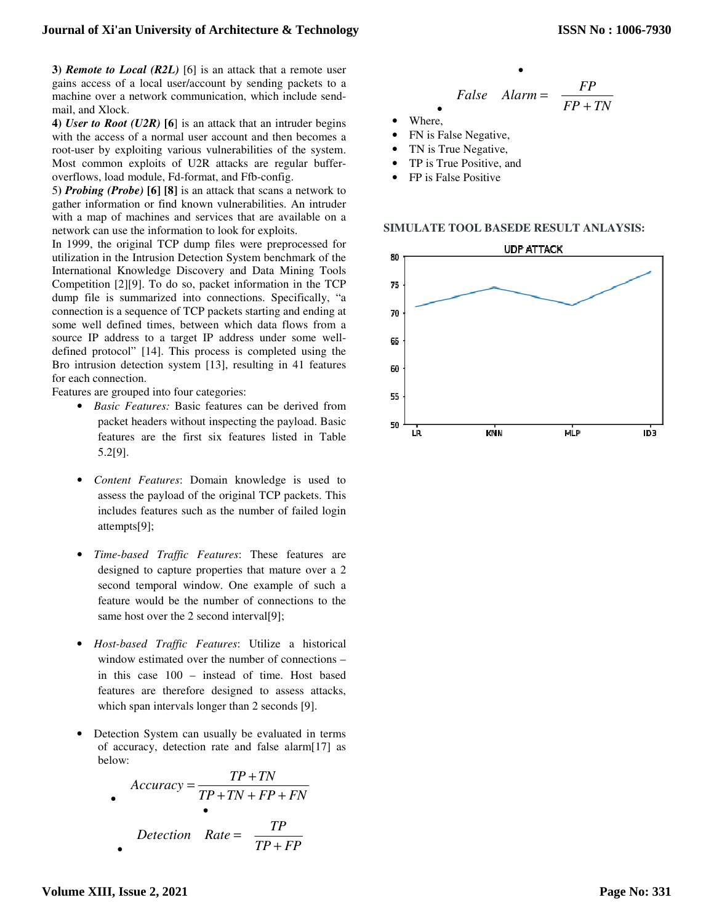**3)** *Remote to Local (R2L)* [6] is an attack that a remote user gains access of a local user/account by sending packets to a machine over a network communication, which include sendmail, and Xlock.

**4)** *User to Root (U2R)* **[6**] is an attack that an intruder begins with the access of a normal user account and then becomes a root-user by exploiting various vulnerabilities of the system. Most common exploits of U2R attacks are regular bufferoverflows, load module, Fd-format, and Ffb-config.

5**)** *Probing (Probe)* **[6] [8]** is an attack that scans a network to gather information or find known vulnerabilities. An intruder with a map of machines and services that are available on a network can use the information to look for exploits.

In 1999, the original TCP dump files were preprocessed for utilization in the Intrusion Detection System benchmark of the International Knowledge Discovery and Data Mining Tools Competition [2][9]. To do so, packet information in the TCP dump file is summarized into connections. Specifically, "a connection is a sequence of TCP packets starting and ending at some well defined times, between which data flows from a source IP address to a target IP address under some welldefined protocol" [14]. This process is completed using the Bro intrusion detection system [13], resulting in 41 features for each connection.

Features are grouped into four categories:

- *Basic Features:* Basic features can be derived from packet headers without inspecting the payload. Basic features are the first six features listed in Table 5.2[9].
- *Content Features*: Domain knowledge is used to assess the payload of the original TCP packets. This includes features such as the number of failed login attempts[9];
- *Time-based Traffic Features*: These features are designed to capture properties that mature over a 2 second temporal window. One example of such a feature would be the number of connections to the same host over the 2 second interval[9];
- *Host-based Traffic Features*: Utilize a historical window estimated over the number of connections – in this case 100 – instead of time. Host based features are therefore designed to assess attacks, which span intervals longer than 2 seconds [9].
- Detection System can usually be evaluated in terms of accuracy, detection rate and false alarm[17] as below:

$$
Accuracy = \frac{TP + TN}{TP + TN + FP + FN}
$$
  
 
$$
Detection \ Rate = \frac{TP}{TP + FP}
$$

False Alarm = 
$$
\frac{FP}{FP + TN}
$$

•

- Where.
- FN is False Negative,
- TN is True Negative,
- TP is True Positive, and
- FP is False Positive

**SIMULATE TOOL BASEDE RESULT ANLAYSIS:** 

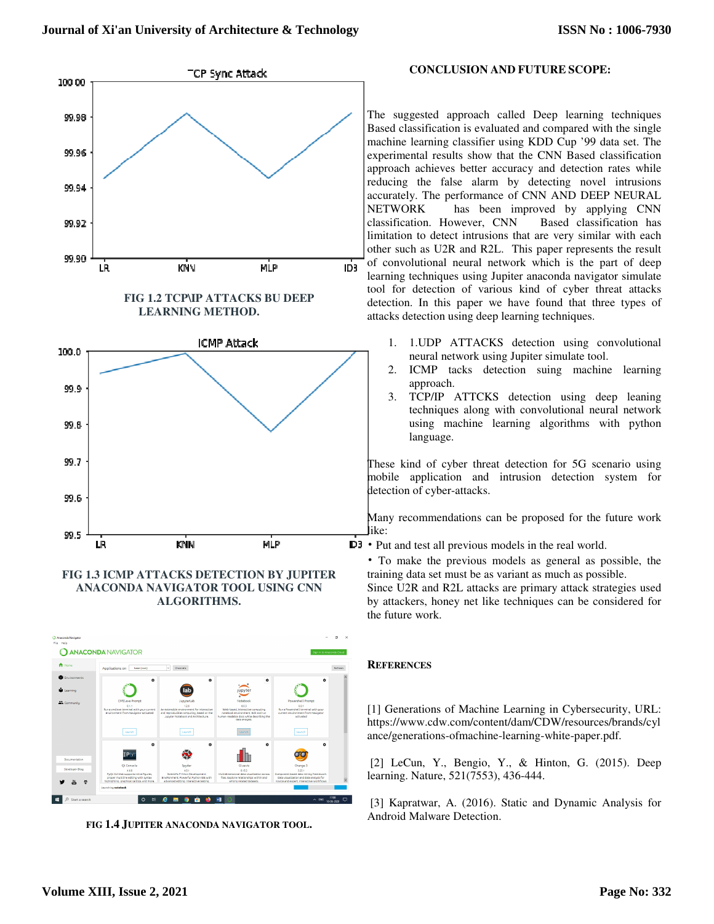

## **FIG 1.3 ICMP ATTACKS DETECTION BY JUPITER ANACONDA NAVIGATOR TOOL USING CNN ALGORITHMS.**



**FIG 1.4 JUPITER ANACONDA NAVIGATOR TOOL.** 

## **CONCLUSION AND FUTURE SCOPE:**

The suggested approach called Deep learning techniques Based classification is evaluated and compared with the single machine learning classifier using KDD Cup '99 data set. The experimental results show that the CNN Based classification approach achieves better accuracy and detection rates while reducing the false alarm by detecting novel intrusions accurately. The performance of CNN AND DEEP NEURAL NETWORK has been improved by applying CNN classification. However, CNN Based classification has limitation to detect intrusions that are very similar with each other such as U2R and R2L. This paper represents the result of convolutional neural network which is the part of deep learning techniques using Jupiter anaconda navigator simulate tool for detection of various kind of cyber threat attacks detection. In this paper we have found that three types of attacks detection using deep learning techniques.

- 1. 1.UDP ATTACKS detection using convolutional neural network using Jupiter simulate tool.
- 2. ICMP tacks detection suing machine learning approach.
- 3. TCP/IP ATTCKS detection using deep leaning techniques along with convolutional neural network using machine learning algorithms with python language.

These kind of cyber threat detection for 5G scenario using mobile application and intrusion detection system for detection of cyber-attacks.

Many recommendations can be proposed for the future work like:

- Put and test all previous models in the real world.
	- To make the previous models as general as possible, the training data set must be as variant as much as possible.

Since U2R and R2L attacks are primary attack strategies used by attackers, honey net like techniques can be considered for the future work.

## **REFERENCES**

[1] Generations of Machine Learning in Cybersecurity, URL: https://www.cdw.com/content/dam/CDW/resources/brands/cyl ance/generations-ofmachine-learning-white-paper.pdf.

 [2] LeCun, Y., Bengio, Y., & Hinton, G. (2015). Deep learning. Nature, 521(7553), 436-444.

 [3] Kapratwar, A. (2016). Static and Dynamic Analysis for Android Malware Detection.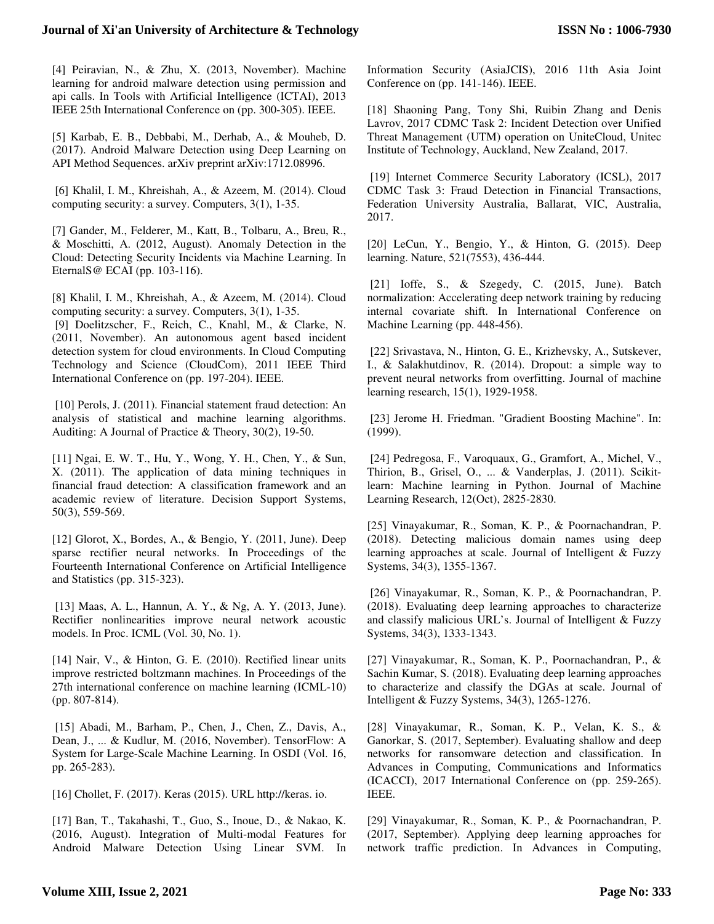## **Journal of Xi'an University of Architecture & Technology**

[4] Peiravian, N., & Zhu, X. (2013, November). Machine learning for android malware detection using permission and api calls. In Tools with Artificial Intelligence (ICTAI), 2013 IEEE 25th International Conference on (pp. 300-305). IEEE.

[5] Karbab, E. B., Debbabi, M., Derhab, A., & Mouheb, D. (2017). Android Malware Detection using Deep Learning on API Method Sequences. arXiv preprint arXiv:1712.08996.

 [6] Khalil, I. M., Khreishah, A., & Azeem, M. (2014). Cloud computing security: a survey. Computers, 3(1), 1-35.

[7] Gander, M., Felderer, M., Katt, B., Tolbaru, A., Breu, R., & Moschitti, A. (2012, August). Anomaly Detection in the Cloud: Detecting Security Incidents via Machine Learning. In EternalS@ ECAI (pp. 103-116).

[8] Khalil, I. M., Khreishah, A., & Azeem, M. (2014). Cloud computing security: a survey. Computers, 3(1), 1-35.

 [9] Doelitzscher, F., Reich, C., Knahl, M., & Clarke, N. (2011, November). An autonomous agent based incident detection system for cloud environments. In Cloud Computing Technology and Science (CloudCom), 2011 IEEE Third International Conference on (pp. 197-204). IEEE.

 [10] Perols, J. (2011). Financial statement fraud detection: An analysis of statistical and machine learning algorithms. Auditing: A Journal of Practice & Theory, 30(2), 19-50.

[11] Ngai, E. W. T., Hu, Y., Wong, Y. H., Chen, Y., & Sun, X. (2011). The application of data mining techniques in financial fraud detection: A classification framework and an academic review of literature. Decision Support Systems, 50(3), 559-569.

[12] Glorot, X., Bordes, A., & Bengio, Y. (2011, June). Deep sparse rectifier neural networks. In Proceedings of the Fourteenth International Conference on Artificial Intelligence and Statistics (pp. 315-323).

 [13] Maas, A. L., Hannun, A. Y., & Ng, A. Y. (2013, June). Rectifier nonlinearities improve neural network acoustic models. In Proc. ICML (Vol. 30, No. 1).

[14] Nair, V., & Hinton, G. E. (2010). Rectified linear units improve restricted boltzmann machines. In Proceedings of the 27th international conference on machine learning (ICML-10) (pp. 807-814).

 [15] Abadi, M., Barham, P., Chen, J., Chen, Z., Davis, A., Dean, J., ... & Kudlur, M. (2016, November). TensorFlow: A System for Large-Scale Machine Learning. In OSDI (Vol. 16, pp. 265-283).

[16] Chollet, F. (2017). Keras (2015). URL http://keras. io.

[17] Ban, T., Takahashi, T., Guo, S., Inoue, D., & Nakao, K. (2016, August). Integration of Multi-modal Features for Android Malware Detection Using Linear SVM. In Information Security (AsiaJCIS), 2016 11th Asia Joint Conference on (pp. 141-146). IEEE.

[18] Shaoning Pang, Tony Shi, Ruibin Zhang and Denis Lavrov, 2017 CDMC Task 2: Incident Detection over Unified Threat Management (UTM) operation on UniteCloud, Unitec Institute of Technology, Auckland, New Zealand, 2017.

 [19] Internet Commerce Security Laboratory (ICSL), 2017 CDMC Task 3: Fraud Detection in Financial Transactions, Federation University Australia, Ballarat, VIC, Australia, 2017.

[20] LeCun, Y., Bengio, Y., & Hinton, G. (2015). Deep learning. Nature, 521(7553), 436-444.

[21] Ioffe, S., & Szegedy, C. (2015, June). Batch normalization: Accelerating deep network training by reducing internal covariate shift. In International Conference on Machine Learning (pp. 448-456).

 [22] Srivastava, N., Hinton, G. E., Krizhevsky, A., Sutskever, I., & Salakhutdinov, R. (2014). Dropout: a simple way to prevent neural networks from overfitting. Journal of machine learning research, 15(1), 1929-1958.

 [23] Jerome H. Friedman. "Gradient Boosting Machine". In: (1999).

 [24] Pedregosa, F., Varoquaux, G., Gramfort, A., Michel, V., Thirion, B., Grisel, O., ... & Vanderplas, J. (2011). Scikitlearn: Machine learning in Python. Journal of Machine Learning Research, 12(Oct), 2825-2830.

[25] Vinayakumar, R., Soman, K. P., & Poornachandran, P. (2018). Detecting malicious domain names using deep learning approaches at scale. Journal of Intelligent & Fuzzy Systems, 34(3), 1355-1367.

 [26] Vinayakumar, R., Soman, K. P., & Poornachandran, P. (2018). Evaluating deep learning approaches to characterize and classify malicious URL's. Journal of Intelligent & Fuzzy Systems, 34(3), 1333-1343.

[27] Vinayakumar, R., Soman, K. P., Poornachandran, P., & Sachin Kumar, S. (2018). Evaluating deep learning approaches to characterize and classify the DGAs at scale. Journal of Intelligent & Fuzzy Systems, 34(3), 1265-1276.

[28] Vinayakumar, R., Soman, K. P., Velan, K. S., & Ganorkar, S. (2017, September). Evaluating shallow and deep networks for ransomware detection and classification. In Advances in Computing, Communications and Informatics (ICACCI), 2017 International Conference on (pp. 259-265). IEEE.

[29] Vinayakumar, R., Soman, K. P., & Poornachandran, P. (2017, September). Applying deep learning approaches for network traffic prediction. In Advances in Computing,